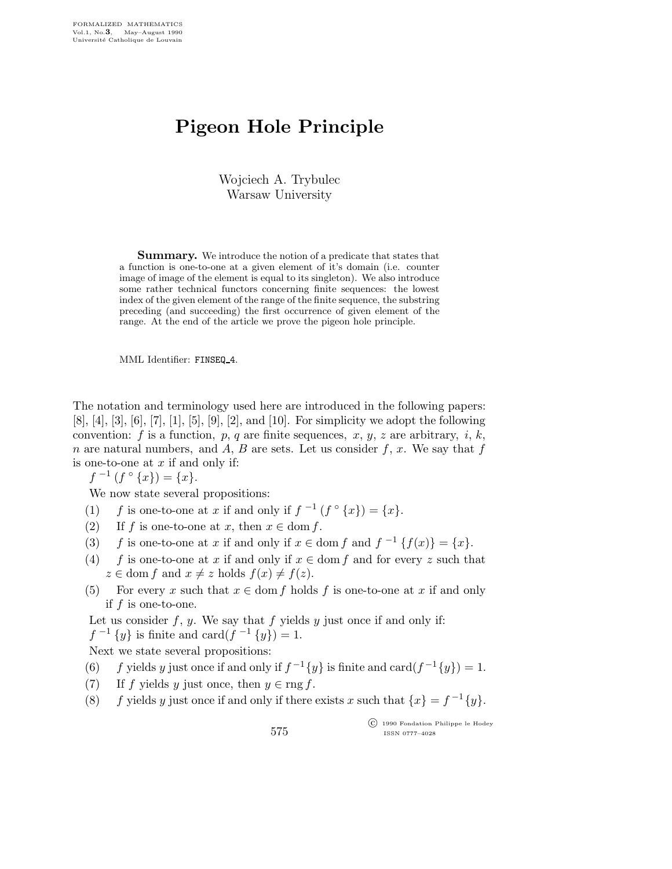## Pigeon Hole Principle

Wojciech A. Trybulec Warsaw University

Summary. We introduce the notion of a predicate that states that a function is one-to-one at a given element of it's domain (i.e. counter image of image of the element is equal to its singleton). We also introduce some rather technical functors concerning finite sequences: the lowest index of the given element of the range of the finite sequence, the substring preceding (and succeeding) the first occurrence of given element of the range. At the end of the article we prove the pigeon hole principle.

MML Identifier: FINSEQ 4.

The notation and terminology used here are introduced in the following papers:  $[8], [4], [3], [6], [7], [1], [5], [9], [2],$  and [10]. For simplicity we adopt the following convention: f is a function, p, q are finite sequences, x, y, z are arbitrary, i, k, n are natural numbers, and A, B are sets. Let us consider  $f, x$ . We say that f is one-to-one at  $x$  if and only if:

 $f^{-1}(f \circ \{x\}) = \{x\}.$ 

We now state several propositions:

- (1) f is one-to-one at x if and only if  $f^{-1}(f \circ \{x\}) = \{x\}.$
- (2) If f is one-to-one at x, then  $x \in \text{dom } f$ .
- (3) f is one-to-one at x if and only if  $x \in \text{dom } f$  and  $f^{-1} \{f(x)\} = \{x\}.$
- (4) f is one-to-one at x if and only if  $x \in \text{dom } f$  and for every z such that  $z \in \text{dom } f \text{ and } x \neq z \text{ holds } f(x) \neq f(z).$
- (5) For every x such that  $x \in \text{dom } f$  holds f is one-to-one at x if and only if  $f$  is one-to-one.

Let us consider  $f, y$ . We say that  $f$  yields  $y$  just once if and only if:

 $f^{-1}\{y\}$  is finite and card $(f^{-1}\{y\}) = 1$ .

Next we state several propositions:

- (6) f yields y just once if and only if  $f^{-1}{y}$  is finite and card $(f^{-1}{y}) = 1$ .
- (7) If f yields y just once, then  $y \in \text{rng } f$ .
- (8) f yields y just once if and only if there exists x such that  $\{x\} = f^{-1}\{y\}.$

575

 c 1990 Fondation Philippe le Hodey ISSN 0777–4028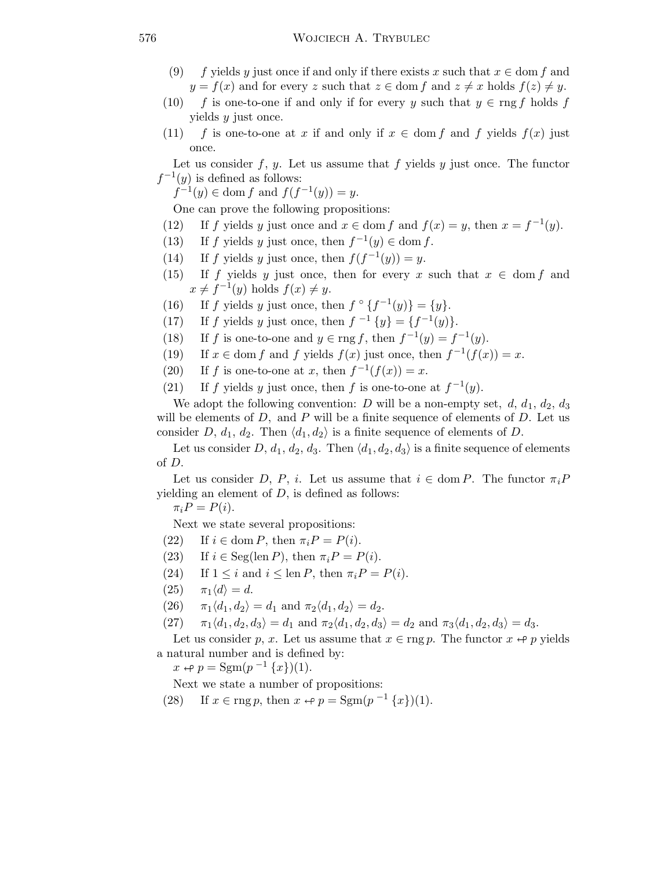- (9) f yields y just once if and only if there exists x such that  $x \in \text{dom } f$  and  $y = f(x)$  and for every z such that  $z \in \text{dom } f$  and  $z \neq x$  holds  $f(z) \neq y$ .
- (10) f is one-to-one if and only if for every y such that  $y \in \text{rng } f$  holds f yields y just once.
- (11) f is one-to-one at x if and only if  $x \in \text{dom } f$  and f yields  $f(x)$  just once.

Let us consider f, y. Let us assume that f yields y just once. The functor  $f^{-1}(y)$  is defined as follows:

 $f^{-1}(y) \in \text{dom } f \text{ and } f(f^{-1}(y)) = y.$ 

One can prove the following propositions:

- (12) If f yields y just once and  $x \in \text{dom } f$  and  $f(x) = y$ , then  $x = f^{-1}(y)$ .
- (13) If f yields y just once, then  $f^{-1}(y) \in \text{dom } f$ .
- (14) If f yields y just once, then  $f(f^{-1}(y)) = y$ .
- (15) If f yields y just once, then for every x such that  $x \in \text{dom } f$  and  $x \neq f^{-1}(y)$  holds  $f(x) \neq y$ .
- (16) If f yields y just once, then  $f \circ \{f^{-1}(y)\} = \{y\}.$
- (17) If f yields y just once, then  $f^{-1}{y} = {f^{-1}(y)}$ .
- (18) If f is one-to-one and  $y \in \text{rng } f$ , then  $f^{-1}(y) = f^{-1}(y)$ .
- (19) If  $x \in \text{dom } f$  and f yields  $f(x)$  just once, then  $f^{-1}(f(x)) = x$ .
- (20) If f is one-to-one at x, then  $f^{-1}(f(x)) = x$ .
- (21) If f yields y just once, then f is one-to-one at  $f^{-1}(y)$ .

We adopt the following convention: D will be a non-empty set,  $d, d_1, d_2, d_3$ will be elements of  $D$ , and  $P$  will be a finite sequence of elements of  $D$ . Let us consider D,  $d_1$ ,  $d_2$ . Then  $\langle d_1, d_2 \rangle$  is a finite sequence of elements of D.

Let us consider D,  $d_1, d_2, d_3$ . Then  $\langle d_1, d_2, d_3 \rangle$  is a finite sequence of elements of D.

Let us consider D, P, i. Let us assume that  $i \in \text{dom } P$ . The functor  $\pi_i P$ yielding an element of  $D$ , is defined as follows:

 $\pi_i P = P(i)$ .

Next we state several propositions:

- (22) If  $i \in \text{dom } P$ , then  $\pi_i P = P(i)$ .
- (23) If  $i \in \text{Seg}(\text{len } P)$ , then  $\pi_i P = P(i)$ .
- (24) If  $1 \leq i$  and  $i \leq \text{len } P$ , then  $\pi_i P = P(i)$ .
- $(25)$   $\pi_1\langle d \rangle = d$ .
- (26)  $\pi_1\langle d_1, d_2 \rangle = d_1$  and  $\pi_2\langle d_1, d_2 \rangle = d_2$ .
- (27)  $\pi_1\langle d_1, d_2, d_3 \rangle = d_1$  and  $\pi_2\langle d_1, d_2, d_3 \rangle = d_2$  and  $\pi_3\langle d_1, d_2, d_3 \rangle = d_3$ .

Let us consider p, x. Let us assume that  $x \in \text{rng } p$ . The functor  $x \leftrightarrow p$  yields a natural number and is defined by:

 $x \leftrightarrow p = \text{Sgm}(p^{-1}\{x\})(1).$ 

Next we state a number of propositions:

(28) If  $x \in \text{rng } p$ , then  $x \leftrightarrow p = \text{Sgm}(p^{-1}\{x\})(1)$ .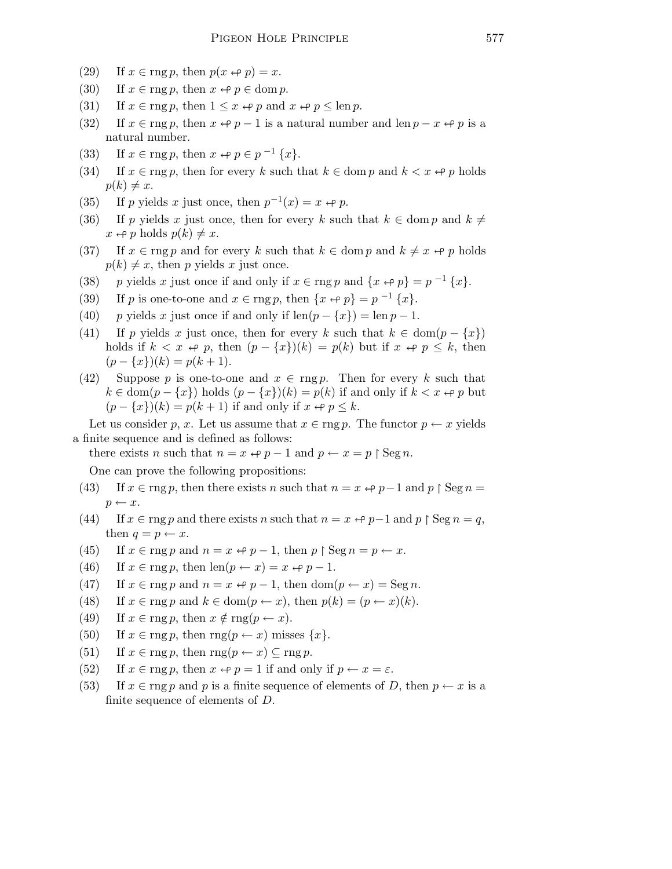- (29) If  $x \in \text{rng } p$ , then  $p(x \leftrightarrow p) = x$ .
- (30) If  $x \in \text{rng } p$ , then  $x \leftrightarrow p \in \text{dom } p$ .
- (31) If  $x \in \text{rng } p$ , then  $1 \leq x \Leftrightarrow p$  and  $x \Leftrightarrow p \leq \text{len } p$ .
- (32) If  $x \in \text{rng } p$ , then  $x \leftrightarrow p-1$  is a natural number and len  $p-x \leftrightarrow p$  is a natural number.
- (33) If  $x \in \text{rng } p$ , then  $x \leftrightarrow p \in p^{-1} \{x\}.$
- (34) If  $x \in \text{rng } p$ , then for every k such that  $k \in \text{dom } p$  and  $k < x \leftrightarrow p$  holds  $p(k) \neq x$ .
- (35) If p yields x just once, then  $p^{-1}(x) = x \leftrightarrow p$ .
- (36) If p yields x just once, then for every k such that  $k \in \text{dom } p$  and  $k \neq$  $x \leftrightarrow p$  holds  $p(k) \neq x$ .
- (37) If  $x \in \text{rng } p$  and for every k such that  $k \in \text{dom } p$  and  $k \neq x \leftrightarrow p$  holds  $p(k) \neq x$ , then p yields x just once.
- (38) p yields x just once if and only if  $x \in \text{rng } p$  and  $\{x \leftrightarrow p\} = p^{-1}\{x\}.$
- (39) If p is one-to-one and  $x \in \text{rng } p$ , then  $\{x \leftrightarrow p\} = p^{-1} \{x\}.$
- (40) p yields x just once if and only if  $\text{len}(p \{x\}) = \text{len } p 1$ .
- (41) If p yields x just once, then for every k such that  $k \in \text{dom}(p \{x\})$ holds if  $k < x \leftrightarrow p$ , then  $(p - \{x\})(k) = p(k)$  but if  $x \leftrightarrow p \leq k$ , then  $(p - \{x\})(k) = p(k + 1).$
- (42) Suppose p is one-to-one and  $x \in \text{rng } p$ . Then for every k such that  $k \in \text{dom}(p - \{x\})$  holds  $(p - \{x\})(k) = p(k)$  if and only if  $k < x \leftrightarrow p$  but  $(p - \{x\})(k) = p(k + 1)$  if and only if  $x \leftrightarrow p \leq k$ .

Let us consider p, x. Let us assume that  $x \in \text{rng } p$ . The functor  $p \leftarrow x$  yields a finite sequence and is defined as follows:

there exists *n* such that  $n = x \leftrightarrow p - 1$  and  $p \leftarrow x = p \restriction \text{Seg } n$ .

One can prove the following propositions:

- (43) If  $x \in \text{rng } p$ , then there exists n such that  $n = x \leftrightarrow p-1$  and  $p \restriction \text{Seg } n =$  $p \leftarrow x$ .
- (44) If  $x \in \text{rng } p$  and there exists n such that  $n = x \leftrightarrow p-1$  and  $p \restriction \text{Seg } n = q$ , then  $q = p \leftarrow x$ .
- (45) If  $x \in \text{rng } p$  and  $n = x \Leftrightarrow p 1$ , then  $p \restriction \text{Seg } n = p \Leftrightarrow x$ .
- (46) If  $x \in \text{rng } p$ , then  $\text{len}(p \leftarrow x) = x \leftrightarrow p 1$ .
- (47) If  $x \in \text{rng } p$  and  $n = x \leftrightarrow p 1$ , then  $\text{dom}(p \leftarrow x) = \text{Seg } n$ .
- (48) If  $x \in \text{rng } p$  and  $k \in \text{dom}(p \leftarrow x)$ , then  $p(k) = (p \leftarrow x)(k)$ .
- (49) If  $x \in \text{rng } p$ , then  $x \notin \text{rng}(p \leftarrow x)$ .
- (50) If  $x \in \text{rng } p$ , then  $\text{rng}(p \leftarrow x)$  misses  $\{x\}$ .
- (51) If  $x \in \text{rng } p$ , then  $\text{rng}(p \leftarrow x) \subseteq \text{rng } p$ .
- (52) If  $x \in \text{rng } p$ , then  $x \leftrightarrow p = 1$  if and only if  $p \leftarrow x = \varepsilon$ .
- (53) If  $x \in \text{rng } p$  and p is a finite sequence of elements of D, then  $p \leftarrow x$  is a finite sequence of elements of D.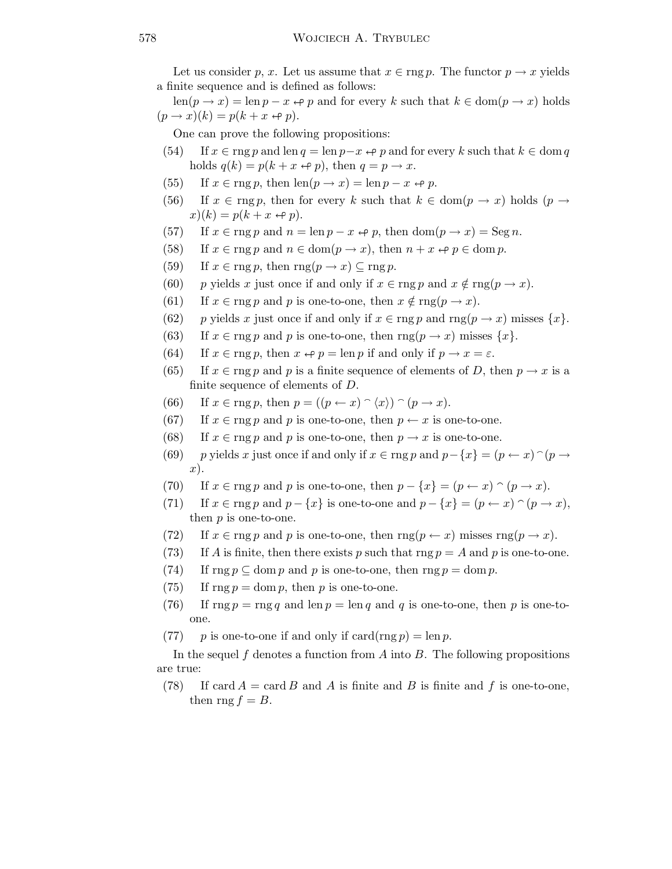Let us consider p, x. Let us assume that  $x \in \text{rng } p$ . The functor  $p \to x$  yields a finite sequence and is defined as follows:

 $\text{len}(p \to x) = \text{len } p - x \leftrightarrow p$  and for every k such that  $k \in \text{dom}(p \to x)$  holds  $(p \rightarrow x)(k) = p(k + x \leftrightarrow p).$ 

One can prove the following propositions:

- (54) If  $x \in \text{rng } p$  and len  $q = \text{len } p x \Leftrightarrow p$  and for every k such that  $k \in \text{dom } q$ holds  $q(k) = p(k + x \leftrightarrow p)$ , then  $q = p \rightarrow x$ .
- (55) If  $x \in \text{rng } p$ , then  $\text{len}(p \to x) = \text{len } p x \leftrightarrow p$ .
- (56) If  $x \in \text{rng } p$ , then for every k such that  $k \in \text{dom}(p \to x)$  holds  $(p \to x)$  $x)(k) = p(k + x \leftrightarrow p).$
- (57) If  $x \in \arg p$  and  $n = \ln p x \Leftrightarrow p$ , then  $\dim(p \to x) = \operatorname{Seg} n$ .
- (58) If  $x \in \text{rng } p$  and  $n \in \text{dom}(p \to x)$ , then  $n + x \leftrightarrow p \in \text{dom } p$ .
- (59) If  $x \in \text{rng } p$ , then  $\text{rng}(p \to x) \subseteq \text{rng } p$ .
- (60) p yields x just once if and only if  $x \in \text{rng } p$  and  $x \notin \text{rng}(p \to x)$ .
- (61) If  $x \in \text{rng } p$  and p is one-to-one, then  $x \notin \text{rng}(p \to x)$ .
- (62) p yields x just once if and only if  $x \in \text{rng } p$  and  $\text{rng}(p \to x)$  misses  $\{x\}$ .
- (63) If  $x \in \text{rng } p$  and p is one-to-one, then  $\text{rng}(p \to x)$  misses  $\{x\}$ .
- (64) If  $x \in \text{rng } p$ , then  $x \leftrightarrow p = \text{len } p$  if and only if  $p \rightarrow x = \varepsilon$ .
- (65) If  $x \in \text{rng } p$  and p is a finite sequence of elements of D, then  $p \to x$  is a finite sequence of elements of D.
- (66) If  $x \in \text{rng } p$ , then  $p = ((p \leftarrow x) \cap \langle x \rangle) \cap (p \rightarrow x)$ .
- (67) If  $x \in \text{rng } p$  and p is one-to-one, then  $p \leftarrow x$  is one-to-one.
- (68) If  $x \in \text{rng } p$  and p is one-to-one, then  $p \to x$  is one-to-one.
- (69) p yields x just once if and only if  $x \in \arg p$  and  $p \{x\} = (p \leftarrow x)$   $\cap$   $(p \rightarrow$ x).
- (70) If  $x \in \text{rng } p$  and p is one-to-one, then  $p \{x\} = (p \leftarrow x) \cap (p \rightarrow x)$ .
- (71) If  $x \in \arg p$  and  $p \{x\}$  is one-to-one and  $p \{x\} = (p \leftarrow x) \cap (p \rightarrow x)$ , then p is one-to-one.
- (72) If  $x \in \text{rng } p$  and p is one-to-one, then  $\text{rng}(p \leftarrow x)$  misses  $\text{rng}(p \rightarrow x)$ .
- (73) If A is finite, then there exists p such that rng  $p = A$  and p is one-to-one.
- (74) If rng  $p \subset \text{dom } p$  and p is one-to-one, then rng  $p = \text{dom } p$ .
- (75) If  $\text{rng } p = \text{dom } p$ , then p is one-to-one.
- (76) If  $\text{rng } p = \text{rng } q$  and  $\text{len } p = \text{len } q$  and q is one-to-one, then p is one-toone.
- (77) p is one-to-one if and only if  $card($ rng  $p) = len p$ .

In the sequel f denotes a function from A into B. The following propositions are true:

(78) If card  $A = \text{card } B$  and A is finite and B is finite and f is one-to-one, then rng  $f = B$ .